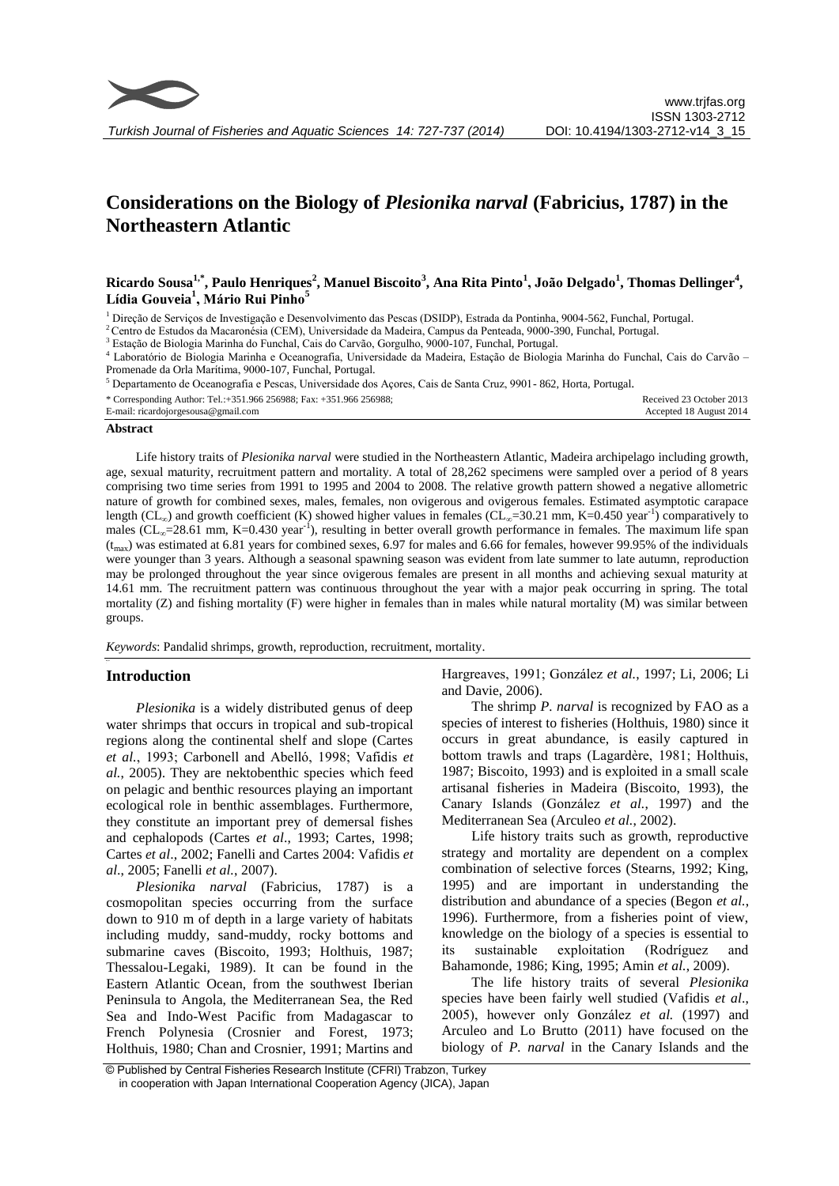

# **Considerations on the Biology of** *Plesionika narval* **(Fabricius, 1787) in the Northeastern Atlantic**

# **Ricardo Sousa1,\*, Paulo Henriques<sup>2</sup> , Manuel Biscoito<sup>3</sup> , Ana Rita Pinto<sup>1</sup> , João Delgado<sup>1</sup> , Thomas Dellinger<sup>4</sup> , Lídia Gouveia<sup>1</sup> , Mário Rui Pinho<sup>5</sup>**

<sup>1</sup> Direção de Serviços de Investigação e Desenvolvimento das Pescas (DSIDP), Estrada da Pontinha, 9004-562, Funchal, Portugal.

<sup>2</sup> Centro de Estudos da Macaronésia (CEM), Universidade da Madeira, Campus da Penteada, 9000-390, Funchal, Portugal.

<sup>3</sup> Estação de Biologia Marinha do Funchal, Cais do Carvão, Gorgulho, 9000-107, Funchal, Portugal.

<sup>4</sup> Laboratório de Biologia Marinha e Oceanografia, Universidade da Madeira, Estação de Biologia Marinha do Funchal, Cais do Carvão – Promenade da Orla Marítima, 9000-107, Funchal, Portugal.

<sup>5</sup> Departamento de Oceanografia e Pescas, Universidade dos Açores, Cais de Santa Cruz, 9901- 862, Horta, Portugal.

| * Corresponding Author: Tel.:+351.966 256988; Fax: +351.966 256988; | Received 23 October 2013 |
|---------------------------------------------------------------------|--------------------------|
| E-mail: ricardojorgesousa@gmail.com                                 | Accepted 18 August 2014  |

#### **Abstract**

Life history traits of *Plesionika narval* were studied in the Northeastern Atlantic, Madeira archipelago including growth, age, sexual maturity, recruitment pattern and mortality. A total of 28,262 specimens were sampled over a period of 8 years comprising two time series from 1991 to 1995 and 2004 to 2008. The relative growth pattern showed a negative allometric nature of growth for combined sexes, males, females, non ovigerous and ovigerous females. Estimated asymptotic carapace length ( $CL_{\infty}$ ) and growth coefficient (K) showed higher values in females ( $CL_{\infty}=30.21$  mm, K=0.450 year<sup>-1</sup>) comparatively to males (CL<sub>∞</sub>=28.61 mm, K=0.430 year<sup>-1</sup>), resulting in better overall growth performance in females. The maximum life span  $(t_{max})$  was estimated at 6.81 years for combined sexes, 6.97 for males and 6.66 for females, however 99.95% of the individuals were younger than 3 years. Although a seasonal spawning season was evident from late summer to late autumn, reproduction may be prolonged throughout the year since ovigerous females are present in all months and achieving sexual maturity at 14.61 mm. The recruitment pattern was continuous throughout the year with a major peak occurring in spring. The total mortality  $(Z)$  and fishing mortality  $(F)$  were higher in females than in males while natural mortality  $(M)$  was similar between groups.

*Keywords*: Pandalid shrimps, growth, reproduction, recruitment, mortality.

# **Introduction** *Anahtar Kelimeler*:

*Plesionika* is a widely distributed genus of deep water shrimps that occurs in tropical and sub-tropical regions along the continental shelf and slope (Cartes *et al.*, 1993; Carbonell and Abelló, 1998; Vafidis *et al.*, 2005). They are nektobenthic species which feed on pelagic and benthic resources playing an important ecological role in benthic assemblages. Furthermore, they constitute an important prey of demersal fishes and cephalopods (Cartes *et al*., 1993; Cartes, 1998; Cartes *et al*., 2002; Fanelli and Cartes 2004: Vafidis *et al*., 2005; Fanelli *et al.*, 2007).

*Plesionika narval* (Fabricius, 1787) is a cosmopolitan species occurring from the surface down to 910 m of depth in a large variety of habitats including muddy, sand-muddy, rocky bottoms and submarine caves (Biscoito, 1993; Holthuis, 1987; Thessalou-Legaki, 1989). It can be found in the Eastern Atlantic Ocean, from the southwest Iberian Peninsula to Angola, the Mediterranean Sea, the Red Sea and Indo-West Pacific from Madagascar to French Polynesia (Crosnier and Forest, 1973; Holthuis, 1980; Chan and Crosnier, 1991; Martins and Hargreaves, 1991; González *et al.*, 1997; Li, 2006; Li and Davie, 2006).

The shrimp *P. narval* is recognized by FAO as a species of interest to fisheries (Holthuis, 1980) since it occurs in great abundance, is easily captured in bottom trawls and traps (Lagardère, 1981; Holthuis, 1987; Biscoito, 1993) and is exploited in a small scale artisanal fisheries in Madeira (Biscoito, 1993), the Canary Islands (González *et al.*, 1997) and the Mediterranean Sea (Arculeo *et al.*, 2002).

Life history traits such as growth, reproductive strategy and mortality are dependent on a complex combination of selective forces (Stearns, 1992; King, 1995) and are important in understanding the distribution and abundance of a species (Begon *et al.*, 1996). Furthermore, from a fisheries point of view, knowledge on the biology of a species is essential to its sustainable exploitation (Rodríguez and Bahamonde, 1986; King, 1995; Amin *et al.*, 2009).

The life history traits of several *Plesionika* species have been fairly well studied (Vafidis *et al*., 2005), however only González *et al.* (1997) and Arculeo and Lo Brutto (2011) have focused on the biology of *P. narval* in the Canary Islands and the

<sup>©</sup> Published by Central Fisheries Research Institute (CFRI) Trabzon, Turkey in cooperation with Japan International Cooperation Agency (JICA), Japan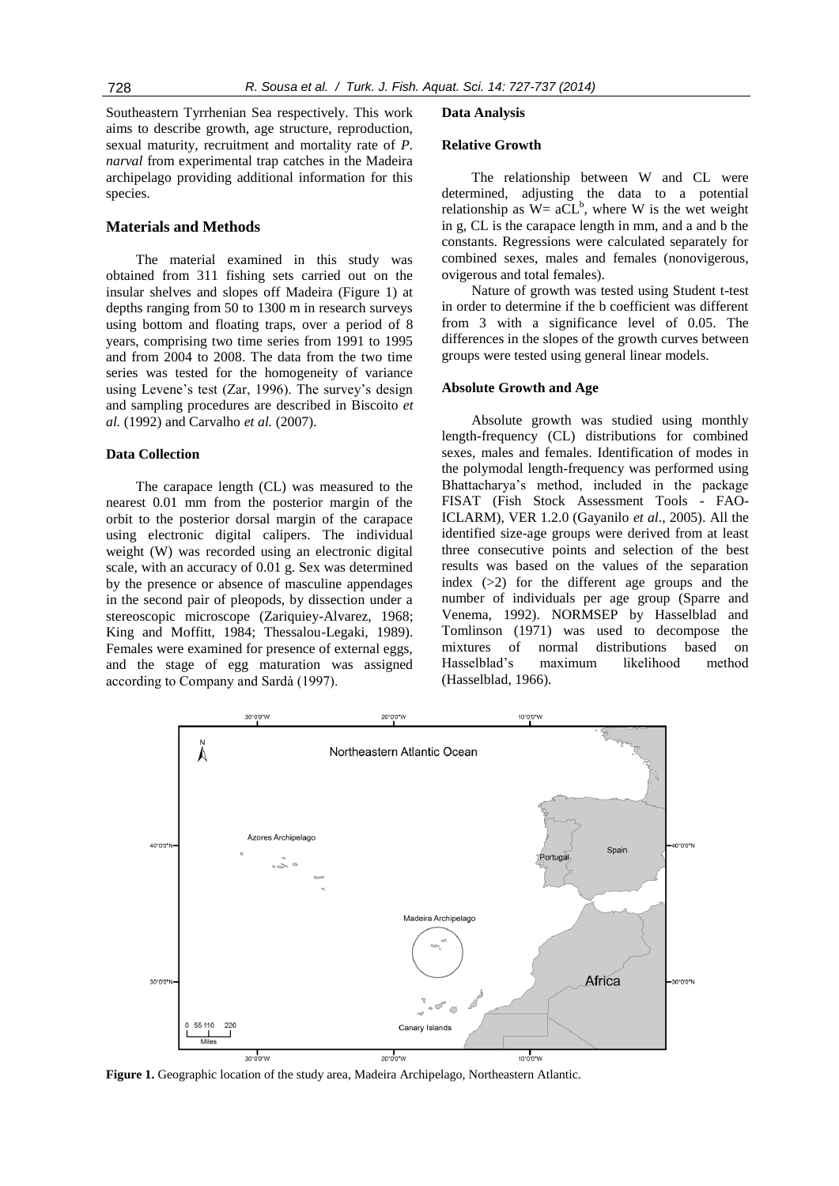Southeastern Tyrrhenian Sea respectively. This work aims to describe growth, age structure, reproduction, sexual maturity, recruitment and mortality rate of *P. narval* from experimental trap catches in the Madeira archipelago providing additional information for this species.

## **Materials and Methods**

The material examined in this study was obtained from 311 fishing sets carried out on the insular shelves and slopes off Madeira (Figure 1) at depths ranging from 50 to 1300 m in research surveys using bottom and floating traps, over a period of 8 years, comprising two time series from 1991 to 1995 and from 2004 to 2008. The data from the two time series was tested for the homogeneity of variance using Levene's test (Zar, 1996). The survey's design and sampling procedures are described in Biscoito *et al.* (1992) and Carvalho *et al.* (2007).

# **Data Collection**

The carapace length (CL) was measured to the nearest 0.01 mm from the posterior margin of the orbit to the posterior dorsal margin of the carapace using electronic digital calipers. The individual weight (W) was recorded using an electronic digital scale, with an accuracy of 0.01 g. Sex was determined by the presence or absence of masculine appendages in the second pair of pleopods, by dissection under a stereoscopic microscope (Zariquiey-Alvarez, 1968; King and Moffitt, 1984; Thessalou-Legaki, 1989). Females were examined for presence of external eggs, and the stage of egg maturation was assigned according to Company and Sardà (1997).

#### **Data Analysis**

## **Relative Growth**

The relationship between W and CL were determined, adjusting the data to a potential relationship as  $W = aCL^b$ , where W is the wet weight in g, CL is the carapace length in mm, and a and b the constants. Regressions were calculated separately for combined sexes, males and females (nonovigerous, ovigerous and total females).

Nature of growth was tested using Student t-test in order to determine if the b coefficient was different from 3 with a significance level of 0.05. The differences in the slopes of the growth curves between groups were tested using general linear models.

## **Absolute Growth and Age**

Absolute growth was studied using monthly length-frequency (CL) distributions for combined sexes, males and females. Identification of modes in the polymodal length-frequency was performed using Bhattacharya's method, included in the package FISAT (Fish Stock Assessment Tools - FAO-ICLARM), VER 1.2.0 (Gayanilo *et al*., 2005). All the identified size-age groups were derived from at least three consecutive points and selection of the best results was based on the values of the separation index (>2) for the different age groups and the number of individuals per age group (Sparre and Venema, 1992). NORMSEP by Hasselblad and Tomlinson (1971) was used to decompose the mixtures of normal distributions based on Hasselblad's maximum likelihood method (Hasselblad, 1966).



**Figure 1.** Geographic location of the study area, Madeira Archipelago, Northeastern Atlantic.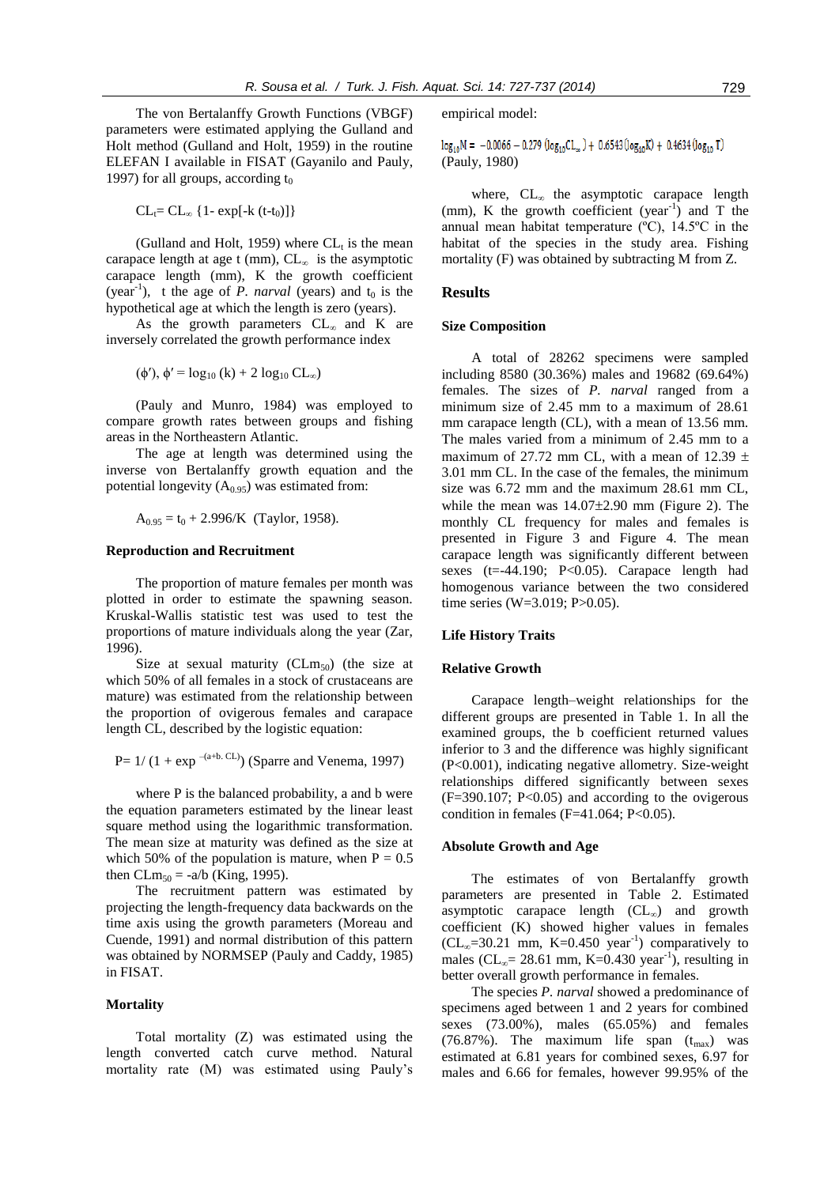The von Bertalanffy Growth Functions (VBGF) parameters were estimated applying the Gulland and Holt method (Gulland and Holt, 1959) in the routine ELEFAN I available in FISAT (Gayanilo and Pauly, 1997) for all groups, according  $t_0$ 

 $CL_t = CL_\infty$  {1- exp[-k (t-t<sub>0</sub>)]}

(Gulland and Holt, 1959) where  $CL<sub>t</sub>$  is the mean carapace length at age t (mm),  $CL_{\infty}$  is the asymptotic carapace length (mm), K the growth coefficient (year<sup>-1</sup>), t the age of *P. narval* (years) and  $t_0$  is the hypothetical age at which the length is zero (years).

As the growth parameters  $CL_{\infty}$  and K are inversely correlated the growth performance index

 $(\phi')$ ,  $\phi' = \log_{10} (k) + 2 \log_{10} CL_{\infty}$ 

(Pauly and Munro, 1984) was employed to compare growth rates between groups and fishing areas in the Northeastern Atlantic.

The age at length was determined using the inverse von Bertalanffy growth equation and the potential longevity  $(A<sub>0.95</sub>)$  was estimated from:

 $A_{0.95} = t_0 + 2.996$ /K (Taylor, 1958).

## **Reproduction and Recruitment**

The proportion of mature females per month was plotted in order to estimate the spawning season. Kruskal-Wallis statistic test was used to test the proportions of mature individuals along the year (Zar, 1996).

Size at sexual maturity  $CLm<sub>50</sub>$  (the size at which 50% of all females in a stock of crustaceans are mature) was estimated from the relationship between the proportion of ovigerous females and carapace length CL, described by the logistic equation:

 $P= 1/(1 + exp^{-(a+b.\ CL)})$  (Sparre and Venema, 1997)

where P is the balanced probability, a and b were the equation parameters estimated by the linear least square method using the logarithmic transformation. The mean size at maturity was defined as the size at which 50% of the population is mature, when  $P = 0.5$ then CLm<sub>50</sub> = -a/b (King, 1995).

The recruitment pattern was estimated by projecting the length-frequency data backwards on the time axis using the growth parameters (Moreau and Cuende, 1991) and normal distribution of this pattern was obtained by NORMSEP (Pauly and Caddy, 1985) in FISAT.

## **Mortality**

Total mortality (Z) was estimated using the length converted catch curve method. Natural mortality rate (M) was estimated using Pauly's empirical model:

 $log_{10}M = -0.0066 - 0.279 (log_{10}CL_{\infty}) + 0.6543(log_{10}K) + 0.4634(log_{10}T)$ (Pauly, 1980)

where, CL∞ the asymptotic carapace length (mm), K the growth coefficient (year<sup>-1</sup>) and T the annual mean habitat temperature (ºC), 14.5ºC in the habitat of the species in the study area. Fishing mortality (F) was obtained by subtracting M from Z.

## **Results**

#### **Size Composition**

A total of 28262 specimens were sampled including 8580 (30.36%) males and 19682 (69.64%) females. The sizes of *P. narval* ranged from a minimum size of 2.45 mm to a maximum of 28.61 mm carapace length (CL), with a mean of 13.56 mm. The males varied from a minimum of 2.45 mm to a maximum of 27.72 mm CL, with a mean of 12.39  $\pm$ 3.01 mm CL. In the case of the females, the minimum size was 6.72 mm and the maximum 28.61 mm CL, while the mean was  $14.07\pm2.90$  mm (Figure 2). The monthly CL frequency for males and females is presented in Figure 3 and Figure 4. The mean carapace length was significantly different between sexes (t=-44.190; P<0.05). Carapace length had homogenous variance between the two considered time series (W=3.019; P>0.05).

#### **Life History Traits**

### **Relative Growth**

Carapace length–weight relationships for the different groups are presented in Table 1. In all the examined groups, the b coefficient returned values inferior to 3 and the difference was highly significant (P<0.001), indicating negative allometry. Size-weight relationships differed significantly between sexes  $(F=390.107; P<0.05)$  and according to the ovigerous condition in females (F=41.064; P<0.05).

#### **Absolute Growth and Age**

The estimates of von Bertalanffy growth parameters are presented in Table 2. Estimated asymptotic carapace length  $CL_{\infty}$  and growth coefficient (K) showed higher values in females  $CL<sub>∞</sub>=30.21$  mm, K=0.450 year<sup>-1</sup>) comparatively to males ( $CL_{\infty}$ = 28.61 mm, K=0.430 year<sup>-1</sup>), resulting in better overall growth performance in females.

The species *P. narval* showed a predominance of specimens aged between 1 and 2 years for combined sexes (73.00%), males (65.05%) and females (76.87%). The maximum life span  $(t_{\text{max}})$  was estimated at 6.81 years for combined sexes, 6.97 for males and 6.66 for females, however 99.95% of the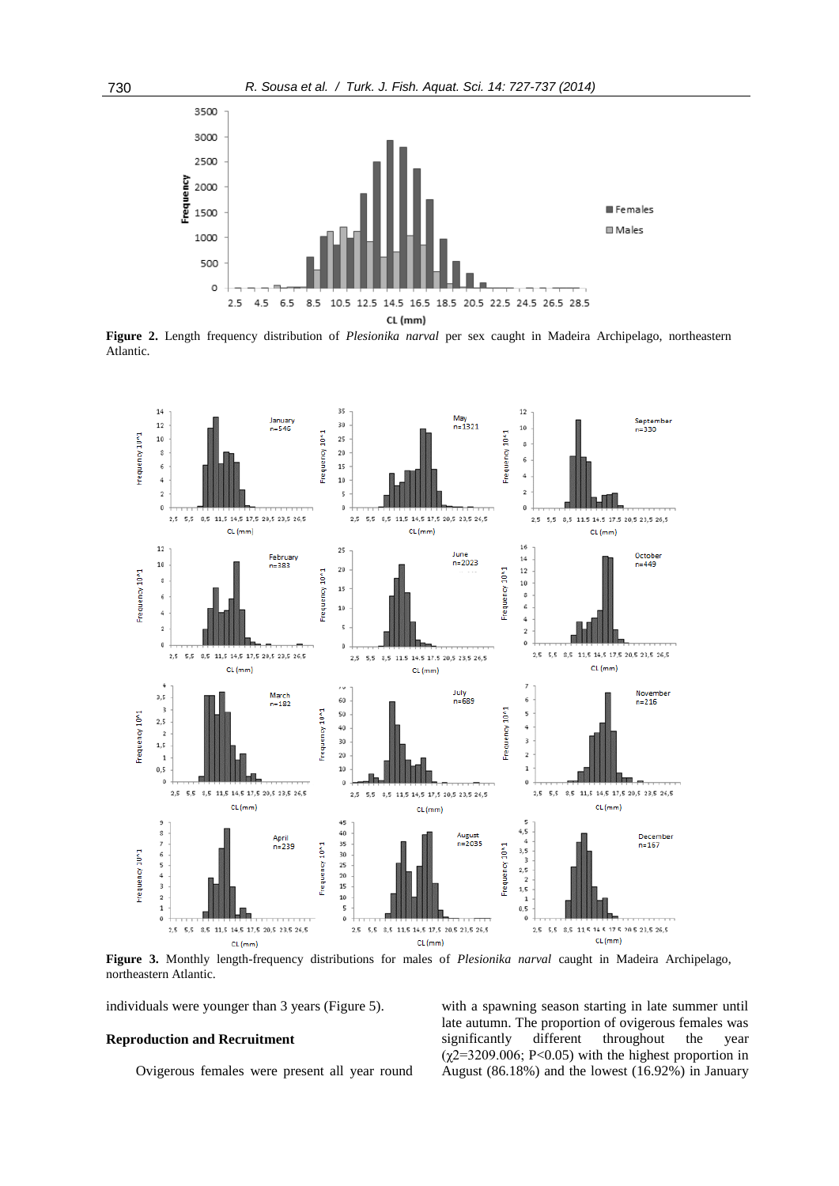

**Figure 2.** Length frequency distribution of *Plesionika narval* per sex caught in Madeira Archipelago, northeastern Atlantic.



**Figure 3.** Monthly length-frequency distributions for males of *Plesionika narval* caught in Madeira Archipelago, northeastern Atlantic.

individuals were younger than 3 years (Figure 5).

## **Reproduction and Recruitment**

Ovigerous females were present all year round

with a spawning season starting in late summer until late autumn. The proportion of ovigerous females was significantly different throughout the year  $(\chi2=3209.006; P<0.05)$  with the highest proportion in August (86.18%) and the lowest (16.92%) in January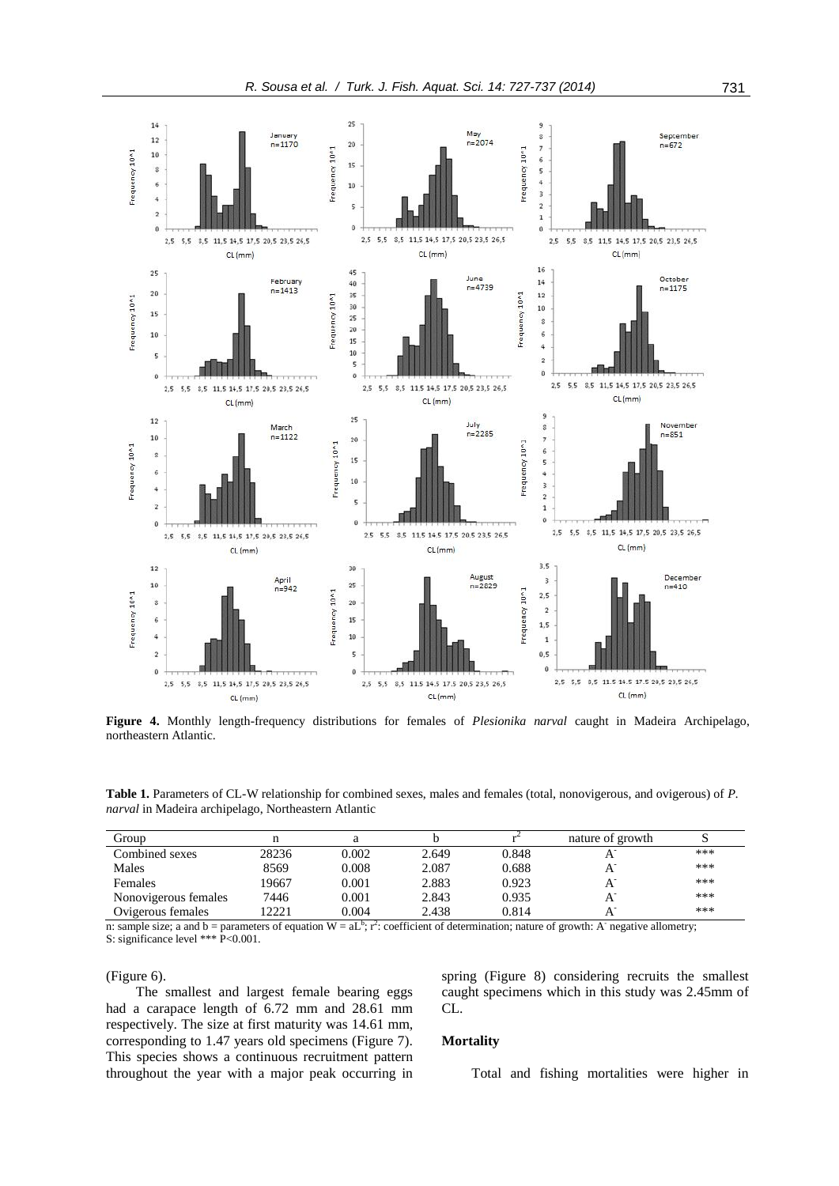

**Figure 4.** Monthly length-frequency distributions for females of *Plesionika narval* caught in Madeira Archipelago, northeastern Atlantic.

**Table 1.** Parameters of CL-W relationship for combined sexes, males and females (total, nonovigerous, and ovigerous) of *P. narval* in Madeira archipelago, Northeastern Atlantic

| Group                |       |       |       |       | nature of growth |     |
|----------------------|-------|-------|-------|-------|------------------|-----|
| Combined sexes       | 28236 | 0.002 | 2.649 | 0.848 |                  | *** |
| Males                | 8569  | 0.008 | 2.087 | 0.688 |                  | *** |
| Females              | 19667 | 0.001 | 2.883 | 0.923 |                  | *** |
| Nonovigerous females | 7446  | 0.001 | 2.843 | 0.935 |                  | *** |
| Ovigerous females    | 2221  | 0.004 | 2.438 | 0.814 |                  | *** |

n: sample size; a and b = parameters of equation  $W = aL^b$ ;  $r^2$ : coefficient of determination; nature of growth: A negative allometry; S: significance level \*\*\* P<0.001.

(Figure 6).

The smallest and largest female bearing eggs had a carapace length of 6.72 mm and 28.61 mm respectively. The size at first maturity was 14.61 mm, corresponding to 1.47 years old specimens (Figure 7). This species shows a continuous recruitment pattern throughout the year with a major peak occurring in spring (Figure 8) considering recruits the smallest caught specimens which in this study was 2.45mm of CL.

# **Mortality**

Total and fishing mortalities were higher in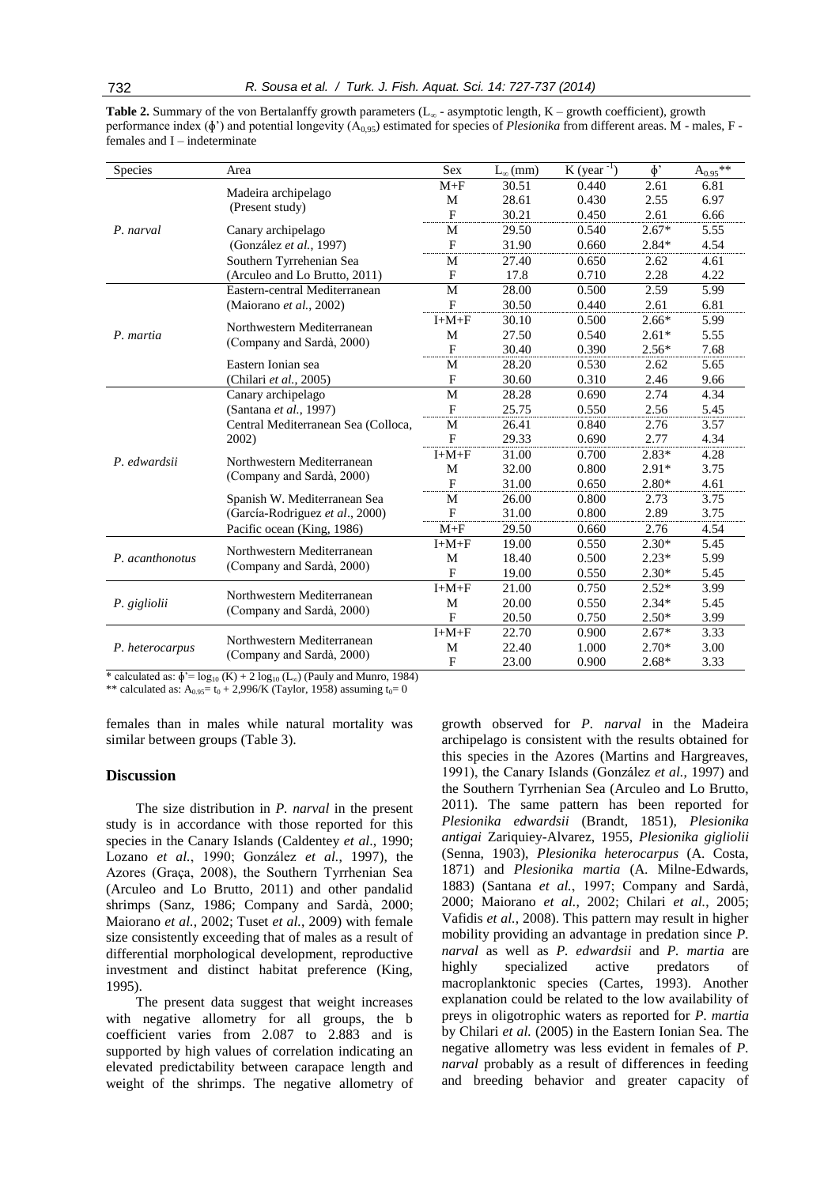**Table 2.** Summary of the von Bertalanffy growth parameters (L<sup>∞</sup> - asymptotic length, K – growth coefficient), growth performance index ( $\phi'$ ) and potential longevity ( $A_{0.95}$ ) estimated for species of *Plesionika* from different areas. M - males, F females and I – indeterminate

| Species         | Area                                                    | Sex            | $L_{\infty}(mm)$ | $K (year^{-1})$ | $\phi$  | $A_{0.95}$ ** |
|-----------------|---------------------------------------------------------|----------------|------------------|-----------------|---------|---------------|
|                 | Madeira archipelago                                     | $M + F$        | 30.51            | 0.440           | 2.61    | 6.81          |
|                 |                                                         | M              | 28.61            | 0.430           | 2.55    | 6.97          |
|                 | (Present study)                                         | $\mathbf F$    | 30.21            | 0.450           | 2.61    | 6.66          |
| P. narval       | Canary archipelago                                      | M              | 29.50            | 0.540           | $2.67*$ | 5.55          |
|                 | (González et al., 1997)                                 | $\mathbf{F}$   | 31.90            | 0.660           | $2.84*$ | 4.54          |
|                 | Southern Tyrrehenian Sea                                | M              | 27.40            | 0.650           | 2.62    | 4.61          |
|                 | (Arculeo and Lo Brutto, 2011)                           | $\mathbf{F}$   | 17.8             | 0.710           | 2.28    | 4.22          |
|                 | Eastern-central Mediterranean                           | M              | 28.00            | 0.500           | 2.59    | 5.99          |
|                 | (Maiorano et al., 2002)                                 | $\mathbf F$    | 30.50            | 0.440           | 2.61    | 6.81          |
|                 | Northwestern Mediterranean                              | $I+M+F$        | 30.10            | 0.500           | $2.66*$ | 5.99          |
| P. martia       |                                                         | M              | 27.50            | 0.540           | $2.61*$ | 5.55          |
|                 | (Company and Sardà, 2000)                               | $\mathbf{F}$   | 30.40            | 0.390           | $2.56*$ | 7.68          |
|                 | Eastern Ionian sea                                      | M              | 28.20            | 0.530           | 2.62    | 5.65          |
|                 | (Chilari et al., 2005)                                  | $\mathbf{F}$   | 30.60            | 0.310           | 2.46    | 9.66          |
|                 | Canary archipelago                                      | M              | 28.28            | 0.690           | 2.74    | 4.34          |
|                 | (Santana et al., 1997)                                  | $\mathbf{F}$   | 25.75            | 0.550           | 2.56    | 5.45          |
|                 | Central Mediterranean Sea (Colloca,                     | M              | 26.41            | 0.840           | 2.76    | 3.57          |
|                 | 2002)                                                   | F              | 29.33            | 0.690           | 2.77    | 4.34          |
| P. edwardsii    | Northwestern Mediterranean<br>(Company and Sardà, 2000) | $I+M+F$        | 31.00            | 0.700           | $2.83*$ | 4.28          |
|                 |                                                         | М              | 32.00            | 0.800           | $2.91*$ | 3.75          |
|                 |                                                         | $\mathbf{F}$   | 31.00            | 0.650           | $2.80*$ | 4.61          |
|                 | Spanish W. Mediterranean Sea                            | M              | 26.00            | 0.800           | 2.73    | 3.75          |
|                 | (García-Rodriguez et al., 2000)                         | F              | 31.00            | 0.800           | 2.89    | 3.75          |
|                 | Pacific ocean (King, 1986)                              | $M + F$        | 29.50            | 0.660           | 2.76    | 4.54          |
| P. acanthonotus | Northwestern Mediterranean<br>(Company and Sardà, 2000) | $I+M+F$        | 19.00            | 0.550           | $2.30*$ | 5.45          |
|                 |                                                         | M              | 18.40            | 0.500           | $2.23*$ | 5.99          |
|                 |                                                         | $\overline{F}$ | 19.00            | 0.550           | $2.30*$ | 5.45          |
| P. gigliolii    | Northwestern Mediterranean                              | $I+M+F$        | 21.00            | 0.750           | $2.52*$ | 3.99          |
|                 | (Company and Sardà, 2000)                               | M              | 20.00            | 0.550           | $2.34*$ | 5.45          |
|                 |                                                         | F              | 20.50            | 0.750           | $2.50*$ | 3.99          |
|                 | Northwestern Mediterranean<br>(Company and Sardà, 2000) | $I+M+F$        | 22.70            | 0.900           | $2.67*$ | 3.33          |
| P. heterocarpus |                                                         | M              | 22.40            | 1.000           | $2.70*$ | 3.00          |
|                 |                                                         | F              | 23.00            | 0.900           | $2.68*$ | 3.33          |

\* calculated as:  $\phi' = \log_{10} (K) + 2 \log_{10} (L_{\infty})$  (Pauly and Munro, 1984)

\*\* calculated as:  $A_{0.95}$ = t<sub>0</sub> + 2,996/K (Taylor, 1958) assuming t<sub>0</sub>= 0

females than in males while natural mortality was similar between groups (Table 3).

## **Discussion**

The size distribution in *P. narval* in the present study is in accordance with those reported for this species in the Canary Islands (Caldentey *et al*., 1990; Lozano *et al.*, 1990; González *et al.*, 1997), the Azores (Graça, 2008), the Southern Tyrrhenian Sea (Arculeo and Lo Brutto, 2011) and other pandalid shrimps (Sanz, 1986; Company and Sardà, 2000; Maiorano *et al.*, 2002; Tuset *et al.*, 2009) with female size consistently exceeding that of males as a result of differential morphological development, reproductive investment and distinct habitat preference (King, 1995).

The present data suggest that weight increases with negative allometry for all groups, the b coefficient varies from 2.087 to 2.883 and is supported by high values of correlation indicating an elevated predictability between carapace length and weight of the shrimps. The negative allometry of

growth observed for *P. narval* in the Madeira archipelago is consistent with the results obtained for this species in the Azores (Martins and Hargreaves, 1991), the Canary Islands (González *et al.*, 1997) and the Southern Tyrrhenian Sea (Arculeo and Lo Brutto, 2011). The same pattern has been reported for *Plesionika edwardsii* (Brandt, 1851), *Plesionika antigai* Zariquiey-Alvarez, 1955, *Plesionika gigliolii*  (Senna, 1903), *Plesionika heterocarpus* (A. Costa, 1871) and *Plesionika martia* (A. Milne-Edwards, 1883) (Santana *et al.*, 1997; Company and Sardà, 2000; Maiorano *et al.*, 2002; Chilari *et al.*, 2005; Vafidis *et al.*, 2008). This pattern may result in higher mobility providing an advantage in predation since *P. narval* as well as *P. edwardsii* and *P. martia* are highly specialized active predators of macroplanktonic species (Cartes, 1993). Another explanation could be related to the low availability of preys in oligotrophic waters as reported for *P. martia* by Chilari *et al.* (2005) in the Eastern Ionian Sea. The negative allometry was less evident in females of *P. narval* probably as a result of differences in feeding and breeding behavior and greater capacity of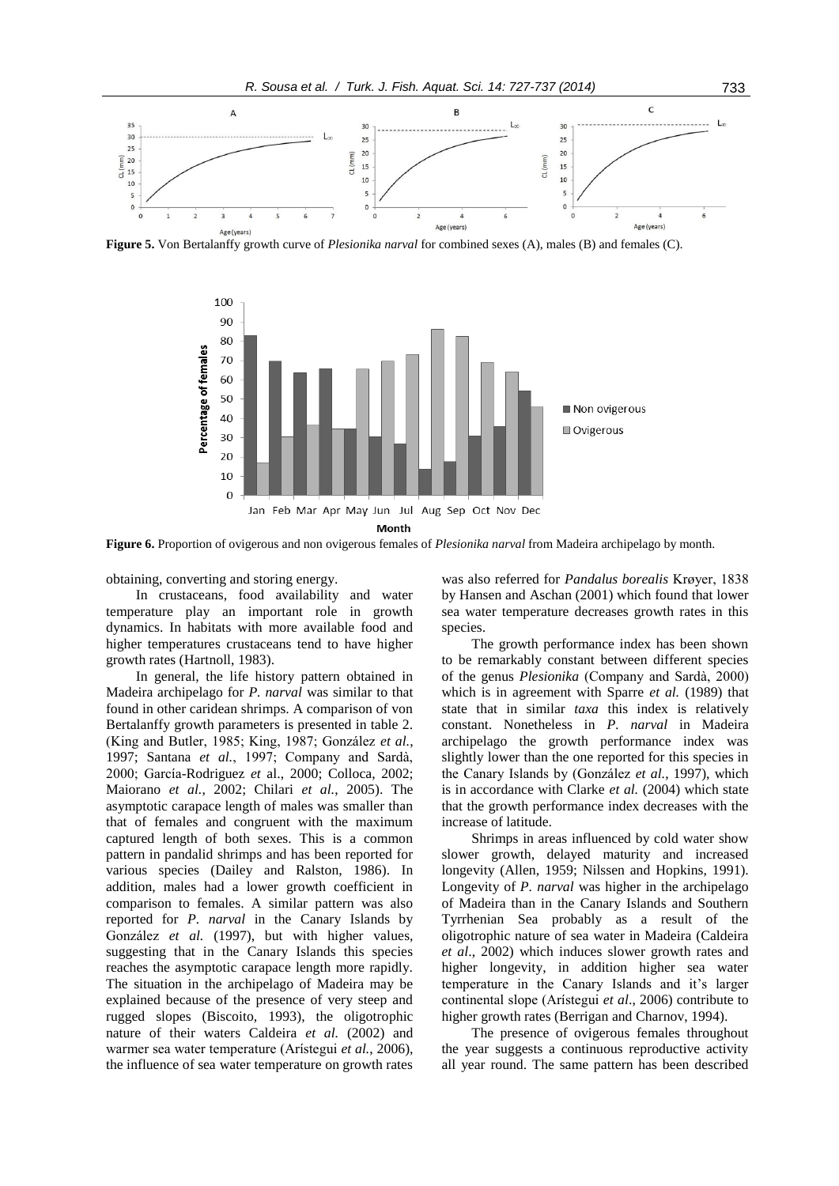**Figure 5.** Von Bertalanffy growth curve of *Plesionika narval* for combined sexes (A), males (B) and females (C).



**Figure 6.** Proportion of ovigerous and non ovigerous females of *Plesionika narval* from Madeira archipelago by month.

obtaining, converting and storing energy.

In crustaceans, food availability and water temperature play an important role in growth dynamics. In habitats with more available food and higher temperatures crustaceans tend to have higher growth rates (Hartnoll, 1983).

In general, the life history pattern obtained in Madeira archipelago for *P. narval* was similar to that found in other caridean shrimps. A comparison of von Bertalanffy growth parameters is presented in table 2. (King and Butler, 1985; King, 1987; González *et al.*, 1997; Santana *et al.*, 1997; Company and Sardà, 2000; García-Rodriguez *et* al., 2000; Colloca, 2002; Maiorano *et al.*, 2002; Chilari *et al.*, 2005). The asymptotic carapace length of males was smaller than that of females and congruent with the maximum captured length of both sexes. This is a common pattern in pandalid shrimps and has been reported for various species (Dailey and Ralston, 1986). In addition, males had a lower growth coefficient in comparison to females. A similar pattern was also reported for *P. narval* in the Canary Islands by González *et al.* (1997), but with higher values, suggesting that in the Canary Islands this species reaches the asymptotic carapace length more rapidly. The situation in the archipelago of Madeira may be explained because of the presence of very steep and rugged slopes (Biscoito, 1993), the oligotrophic nature of their waters Caldeira *et al.* (2002) and warmer sea water temperature (Arístegui *et al.*, 2006), the influence of sea water temperature on growth rates

was also referred for *Pandalus borealis* Krøyer, 1838 by Hansen and Aschan (2001) which found that lower sea water temperature decreases growth rates in this species.

The growth performance index has been shown to be remarkably constant between different species of the genus *Plesionika* (Company and Sardà, 2000) which is in agreement with Sparre *et al.* (1989) that state that in similar *taxa* this index is relatively constant. Nonetheless in *P. narval* in Madeira archipelago the growth performance index was slightly lower than the one reported for this species in the Canary Islands by (González *et al.*, 1997), which is in accordance with Clarke *et al.* (2004) which state that the growth performance index decreases with the increase of latitude.

Shrimps in areas influenced by cold water show slower growth, delayed maturity and increased longevity (Allen, 1959; Nilssen and Hopkins, 1991). Longevity of *P. narval* was higher in the archipelago of Madeira than in the Canary Islands and Southern Tyrrhenian Sea probably as a result of the oligotrophic nature of sea water in Madeira (Caldeira *et al*., 2002) which induces slower growth rates and higher longevity, in addition higher sea water temperature in the Canary Islands and it's larger continental slope (Arístegui *et al*., 2006) contribute to higher growth rates (Berrigan and Charnov, 1994).

The presence of ovigerous females throughout the year suggests a continuous reproductive activity all year round. The same pattern has been described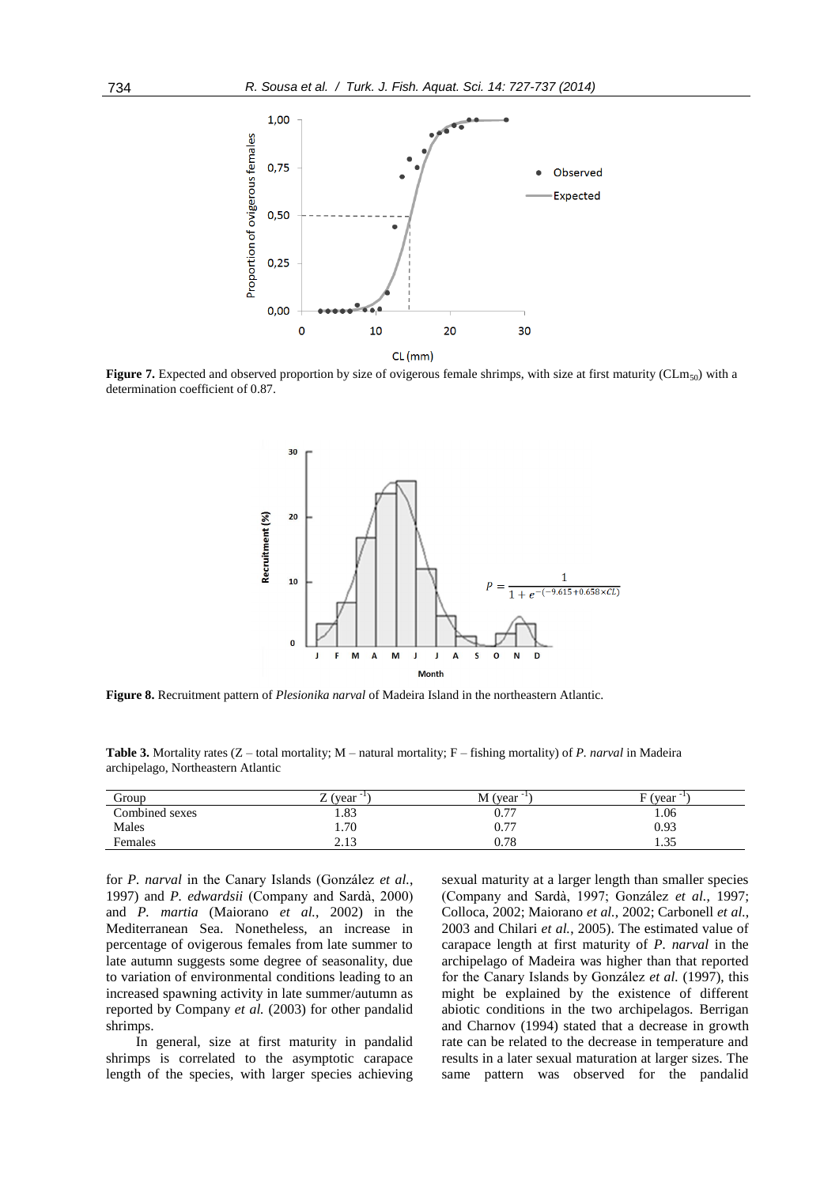

**Figure 7.** Expected and observed proportion by size of ovigerous female shrimps, with size at first maturity (CLm<sub>50</sub>) with a determination coefficient of 0.87.



**Figure 8.** Recruitment pattern of *Plesionika narval* of Madeira Island in the northeastern Atlantic.

**Table 3.** Mortality rates (Z – total mortality; M – natural mortality; F – fishing mortality) of *P. narval* in Madeira archipelago, Northeastern Atlantic

| Group          | (year)<br>∸     | $M$ (year $^{-1}$ ) | E (<br>(vear |
|----------------|-----------------|---------------------|--------------|
| Combined sexes | 1.83            | 0.77                | 1.06         |
| Males          | 1.70            | 0.77                | 0.93         |
| Females        | າ 12<br>ر 1 ، 4 | 0.78                | 25<br>ر د. ۱ |

for *P. narval* in the Canary Islands (González *et al.*, 1997) and *P. edwardsii* (Company and Sardà, 2000) and *P. martia* (Maiorano *et al.*, 2002) in the Mediterranean Sea. Nonetheless, an increase in percentage of ovigerous females from late summer to late autumn suggests some degree of seasonality, due to variation of environmental conditions leading to an increased spawning activity in late summer/autumn as reported by Company *et al.* (2003) for other pandalid shrimps.

In general, size at first maturity in pandalid shrimps is correlated to the asymptotic carapace length of the species, with larger species achieving

sexual maturity at a larger length than smaller species (Company and Sardà, 1997; González *et al.*, 1997; Colloca, 2002; Maiorano *et al.*, 2002; Carbonell *et al.*, 2003 and Chilari *et al.*, 2005). The estimated value of carapace length at first maturity of *P. narval* in the archipelago of Madeira was higher than that reported for the Canary Islands by González *et al.* (1997), this might be explained by the existence of different abiotic conditions in the two archipelagos. Berrigan and Charnov (1994) stated that a decrease in growth rate can be related to the decrease in temperature and results in a later sexual maturation at larger sizes. The same pattern was observed for the pandalid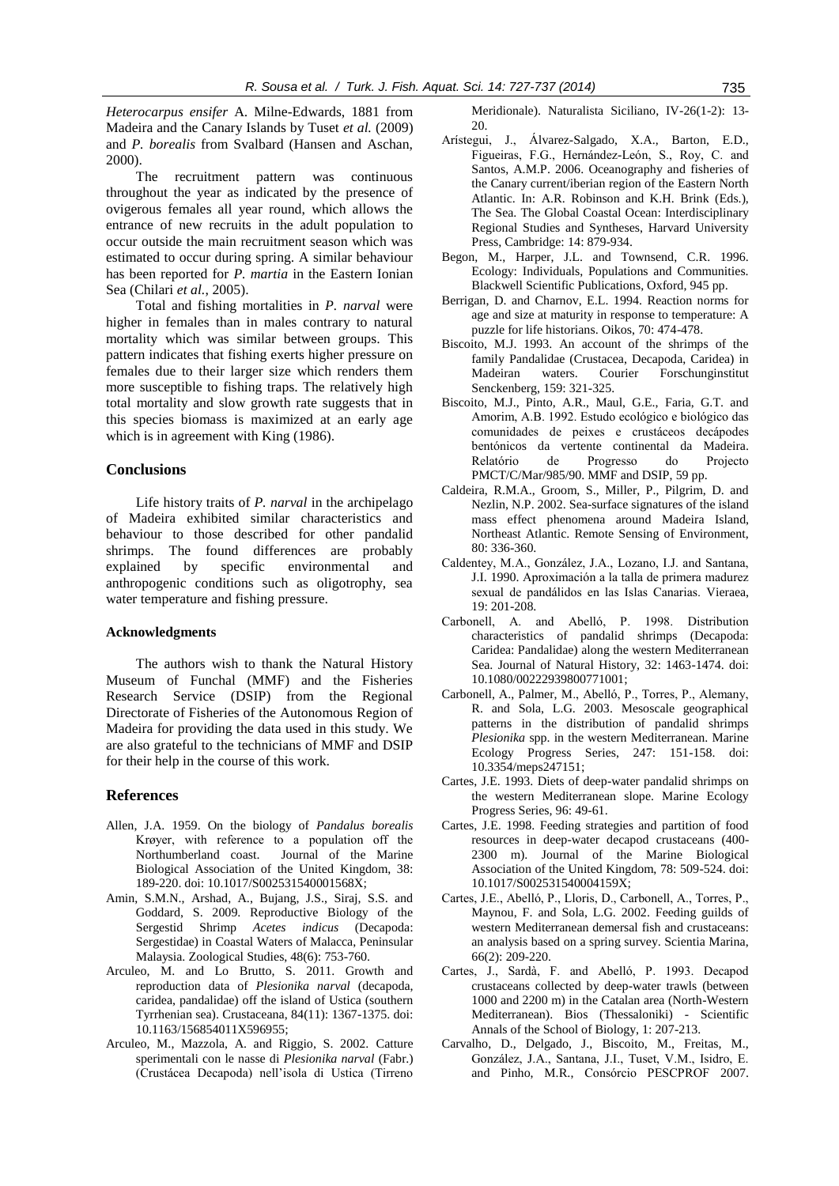*Heterocarpus ensifer* A. Milne-Edwards, 1881 from Madeira and the Canary Islands by Tuset *et al.* (2009) and *P. borealis* from Svalbard (Hansen and Aschan, 2000).

The recruitment pattern was continuous throughout the year as indicated by the presence of ovigerous females all year round, which allows the entrance of new recruits in the adult population to occur outside the main recruitment season which was estimated to occur during spring. A similar behaviour has been reported for *P. martia* in the Eastern Ionian Sea (Chilari *et al.*, 2005).

Total and fishing mortalities in *P. narval* were higher in females than in males contrary to natural mortality which was similar between groups. This pattern indicates that fishing exerts higher pressure on females due to their larger size which renders them more susceptible to fishing traps. The relatively high total mortality and slow growth rate suggests that in this species biomass is maximized at an early age which is in agreement with King (1986).

# **Conclusions**

Life history traits of *P. narval* in the archipelago of Madeira exhibited similar characteristics and behaviour to those described for other pandalid shrimps. The found differences are probably explained by specific environmental and anthropogenic conditions such as oligotrophy, sea water temperature and fishing pressure.

### **Acknowledgments**

The authors wish to thank the Natural History Museum of Funchal (MMF) and the Fisheries Research Service (DSIP) from the Regional Directorate of Fisheries of the Autonomous Region of Madeira for providing the data used in this study. We are also grateful to the technicians of MMF and DSIP for their help in the course of this work.

# **References**

- Allen, J.A. 1959. On the biology of *Pandalus borealis* Krøyer, with reference to a population off the Northumberland coast. Journal of the Marine Biological Association of the United Kingdom, 38: 189-220. doi: 10.1017/S002531540001568X;
- Amin, S.M.N., Arshad, A., Bujang, J.S., Siraj, S.S. and Goddard, S. 2009. Reproductive Biology of the Sergestid Shrimp *Acetes indicus* (Decapoda: Sergestidae) in Coastal Waters of Malacca, Peninsular Malaysia. Zoological Studies, 48(6): 753-760.
- Arculeo, M. and Lo Brutto, S. 2011. Growth and reproduction data of *Plesionika narval* (decapoda, caridea, pandalidae) off the island of Ustica (southern Tyrrhenian sea). Crustaceana, 84(11): 1367-1375. doi: 10.1163/156854011X596955;
- Arculeo, M., Mazzola, A. and Riggio, S. 2002. Catture sperimentali con le nasse di *Plesionika narval* (Fabr.) (Crustácea Decapoda) nell'isola di Ustica (Tirreno

Meridionale). Naturalista Siciliano, IV-26(1-2): 13- 20.

- Arístegui, J., Álvarez-Salgado, X.A., Barton, E.D., Figueiras, F.G., Hernández-León, S., Roy, C. and Santos, A.M.P. 2006. Oceanography and fisheries of the Canary current/iberian region of the Eastern North Atlantic. In: A.R. Robinson and K.H. Brink (Eds.), The Sea. The Global Coastal Ocean: Interdisciplinary Regional Studies and Syntheses, Harvard University Press, Cambridge: 14: 879-934.
- Begon, M., Harper, J.L. and Townsend, C.R. 1996. Ecology: Individuals, Populations and Communities. Blackwell Scientific Publications, Oxford, 945 pp.
- Berrigan, D. and Charnov, E.L. 1994. Reaction norms for age and size at maturity in response to temperature: A puzzle for life historians. Oikos, 70: 474-478.
- Biscoito, M.J. 1993. An account of the shrimps of the family Pandalidae (Crustacea, Decapoda, Caridea) in Madeiran waters. Courier Forschunginstitut Senckenberg, 159: 321-325.
- Biscoito, M.J., Pinto, A.R., Maul, G.E., Faria, G.T. and Amorim, A.B. 1992. Estudo ecológico e biológico das comunidades de peixes e crustáceos decápodes bentónicos da vertente continental da Madeira. Relatório de Progresso do Projecto PMCT/C/Mar/985/90. MMF and DSIP, 59 pp.
- Caldeira, R.M.A., Groom, S., Miller, P., Pilgrim, D. and Nezlin, N.P. 2002. Sea-surface signatures of the island mass effect phenomena around Madeira Island, Northeast Atlantic. Remote Sensing of Environment, 80: 336-360.
- Caldentey, M.A., González, J.A., Lozano, I.J. and Santana, J.I. 1990. Aproximación a la talla de primera madurez sexual de pandálidos en las Islas Canarias. Vieraea, 19: 201-208.
- Carbonell, A. and Abelló, P. 1998. Distribution characteristics of pandalid shrimps (Decapoda: Caridea: Pandalidae) along the western Mediterranean Sea. Journal of Natural History, 32: 1463-1474. doi: 10.1080/00222939800771001;
- Carbonell, A., Palmer, M., Abelló, P., Torres, P., Alemany, R. and Sola, L.G. 2003. Mesoscale geographical patterns in the distribution of pandalid shrimps *Plesionika* spp. in the western Mediterranean. Marine Ecology Progress Series, 247: 151-158. doi: 10.3354/meps247151;
- Cartes, J.E. 1993. Diets of deep-water pandalid shrimps on the western Mediterranean slope. Marine Ecology Progress Series, 96: 49-61.
- Cartes, J.E. 1998. Feeding strategies and partition of food resources in deep-water decapod crustaceans (400- 2300 m). Journal of the Marine Biological Association of the United Kingdom, 78: 509-524. doi: 10.1017/S002531540004159X;
- Cartes, J.E., Abelló, P., Lloris, D., Carbonell, A., Torres, P., Maynou, F. and Sola, L.G. 2002. Feeding guilds of western Mediterranean demersal fish and crustaceans: an analysis based on a spring survey. Scientia Marina, 66(2): 209-220.
- Cartes, J., Sardà, F. and Abelló, P. 1993. Decapod crustaceans collected by deep-water trawls (between 1000 and 2200 m) in the Catalan area (North-Western Mediterranean). Bios (Thessaloniki) - Scientific Annals of the School of Biology, 1: 207-213.
- Carvalho, D., Delgado, J., Biscoito, M., Freitas, M., González, J.A., Santana, J.I., Tuset, V.M., Isidro, E. and Pinho, M.R., Consórcio PESCPROF 2007.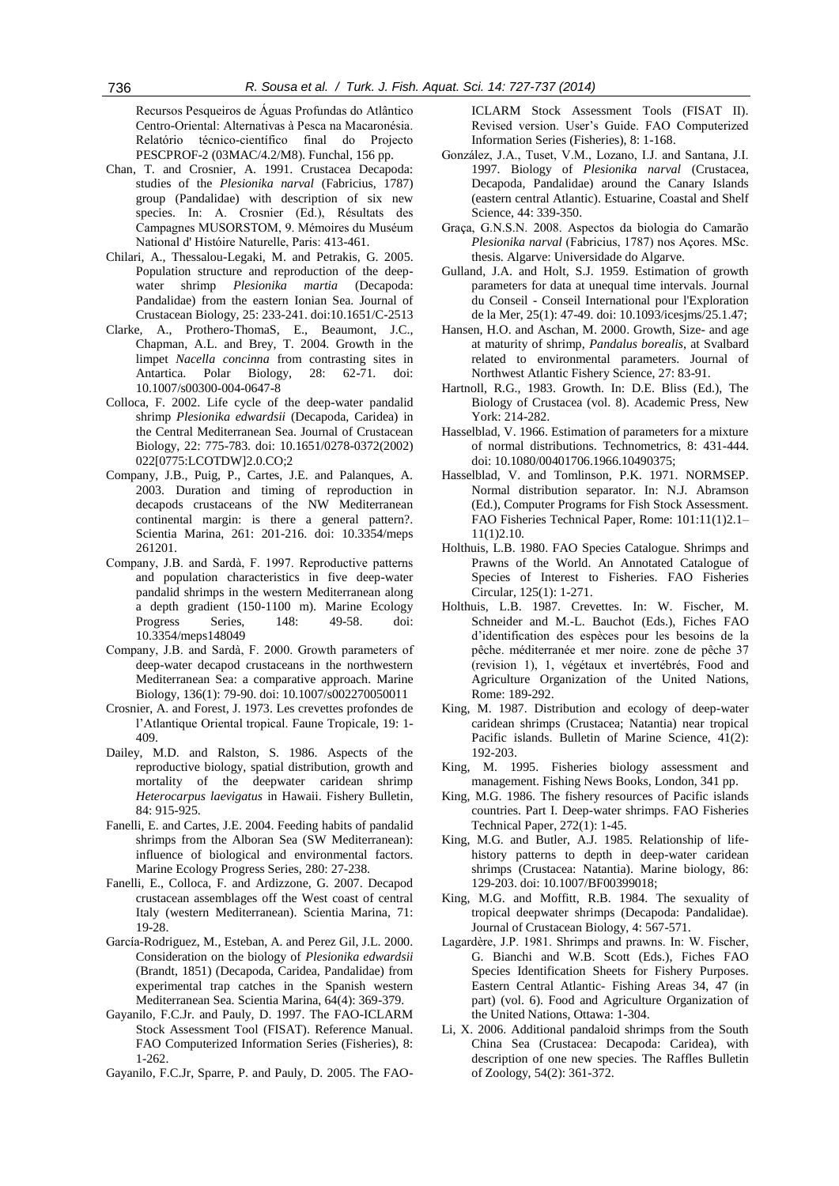Recursos Pesqueiros de Águas Profundas do Atlântico Centro-Oriental: Alternativas à Pesca na Macaronésia. Relatório técnico-científico final do Projecto PESCPROF-2 (03MAC/4.2/M8). Funchal, 156 pp.

- Chan, T. and Crosnier, A. 1991. Crustacea Decapoda: studies of the *Plesionika narval* (Fabricius, 1787) group (Pandalidae) with description of six new species. In: A. Crosnier (Ed.), Résultats des Campagnes MUSORSTOM, 9. Mémoires du Muséum National d' Históire Naturelle, Paris: 413-461.
- Chilari, A., Thessalou-Legaki, M. and Petrakis, G. 2005. Population structure and reproduction of the deepwater shrimp *Plesionika martia* (Decapoda: Pandalidae) from the eastern Ionian Sea. Journal of Crustacean Biology, 25: 233-241. doi:10.1651/C-2513
- Clarke, A., Prothero-ThomaS, E., Beaumont, J.C., Chapman, A.L. and Brey, T. 2004. Growth in the limpet *Nacella concinna* from contrasting sites in Antartica. Polar Biology, 28: 62-71. doi: 10.1007/s00300-004-0647-8
- Colloca, F. 2002. Life cycle of the deep-water pandalid shrimp *Plesionika edwardsii* (Decapoda, Caridea) in the Central Mediterranean Sea. Journal of Crustacean Biology, 22: 775-783. doi: 10.1651/0278-0372(2002) 022[0775:LCOTDW]2.0.CO;2
- Company, J.B., Puig, P., Cartes, J.E. and Palanques, A. 2003. Duration and timing of reproduction in decapods crustaceans of the NW Mediterranean continental margin: is there a general pattern?. Scientia Marina, 261: 201-216. doi: 10.3354/meps 261201.
- Company, J.B. and Sardà, F. 1997. Reproductive patterns and population characteristics in five deep-water pandalid shrimps in the western Mediterranean along a depth gradient (150-1100 m). Marine Ecology Progress Series, 148: 49-58. doi: 10.3354/meps148049
- Company, J.B. and Sardà, F. 2000. Growth parameters of deep-water decapod crustaceans in the northwestern Mediterranean Sea: a comparative approach. Marine Biology, 136(1): 79-90. doi: 10.1007/s002270050011
- Crosnier, A. and Forest, J. 1973. Les crevettes profondes de l'Atlantique Oriental tropical. Faune Tropicale, 19: 1- 409.
- Dailey, M.D. and Ralston, S. 1986. Aspects of the reproductive biology, spatial distribution, growth and mortality of the deepwater caridean shrimp *Heterocarpus laevigatus* in Hawaii. Fishery Bulletin, 84: 915-925.
- Fanelli, E. and Cartes, J.E. 2004. Feeding habits of pandalid shrimps from the Alboran Sea (SW Mediterranean): influence of biological and environmental factors. Marine Ecology Progress Series, 280: 27-238.
- Fanelli, E., Colloca, F. and Ardizzone, G. 2007. Decapod crustacean assemblages off the West coast of central Italy (western Mediterranean). Scientia Marina, 71: 19-28.
- García-Rodriguez, M., Esteban, A. and Perez Gil, J.L. 2000. Consideration on the biology of *Plesionika edwardsii* (Brandt, 1851) (Decapoda, Caridea, Pandalidae) from experimental trap catches in the Spanish western Mediterranean Sea. Scientia Marina, 64(4): 369-379.
- Gayanilo, F.C.Jr. and Pauly, D. 1997. The FAO-ICLARM Stock Assessment Tool (FISAT). Reference Manual. FAO Computerized Information Series (Fisheries), 8: 1-262.
- Gayanilo, F.C.Jr, Sparre, P. and Pauly, D. 2005. The FAO-

ICLARM Stock Assessment Tools (FISAT II). Revised version. User's Guide. FAO Computerized Information Series (Fisheries), 8: 1-168.

- González, J.A., Tuset, V.M., Lozano, I.J. and Santana, J.I. 1997. Biology of *Plesionika narval* (Crustacea, Decapoda, Pandalidae) around the Canary Islands (eastern central Atlantic). Estuarine, Coastal and Shelf Science, 44: 339-350.
- Graça, G.N.S.N. 2008. Aspectos da biologia do Camarão *Plesionika narval* (Fabricius, 1787) nos Açores. MSc. thesis. Algarve: Universidade do Algarve.
- Gulland, J.A. and Holt, S.J. 1959. Estimation of growth parameters for data at unequal time intervals. Journal du Conseil - Conseil International pour l'Exploration de la Mer, 25(1): 47-49. doi: 10.1093/icesjms/25.1.47;
- Hansen, H.O. and Aschan, M. 2000. Growth, Size- and age at maturity of shrimp, *Pandalus borealis*, at Svalbard related to environmental parameters. Journal of Northwest Atlantic Fishery Science, 27: 83-91.
- Hartnoll, R.G., 1983. Growth. In: D.E. Bliss (Ed.), The Biology of Crustacea (vol. 8). Academic Press, New York: 214-282.
- Hasselblad, V. 1966. Estimation of parameters for a mixture of normal distributions. Technometrics, 8: 431-444. doi: 10.1080/00401706.1966.10490375;
- Hasselblad, V. and Tomlinson, P.K. 1971. NORMSEP. Normal distribution separator. In: N.J. Abramson (Ed.), Computer Programs for Fish Stock Assessment. FAO Fisheries Technical Paper, Rome: 101:11(1)2.1– 11(1)2.10.
- Holthuis, L.B. 1980. FAO Species Catalogue. Shrimps and Prawns of the World. An Annotated Catalogue of Species of Interest to Fisheries. FAO Fisheries Circular, 125(1): 1-271.
- Holthuis, L.B. 1987. Crevettes. In: W. Fischer, M. Schneider and M.-L. Bauchot (Eds.), Fiches FAO d'identification des espèces pour les besoins de la pêche. méditerranée et mer noire. zone de pêche 37 (revision 1), 1, végétaux et invertébrés, Food and Agriculture Organization of the United Nations, Rome: 189-292.
- King, M. 1987. Distribution and ecology of deep-water caridean shrimps (Crustacea; Natantia) near tropical Pacific islands. Bulletin of Marine Science, 41(2): 192-203.
- King, M. 1995. Fisheries biology assessment and management. Fishing News Books, London, 341 pp.
- King, M.G. 1986. The fishery resources of Pacific islands countries. Part I. Deep-water shrimps. FAO Fisheries Technical Paper, 272(1): 1-45.
- King, M.G. and Butler, A.J. 1985. Relationship of lifehistory patterns to depth in deep-water caridean shrimps (Crustacea: Natantia). Marine biology, 86: 129-203. doi: 10.1007/BF00399018;
- King, M.G. and Moffitt, R.B. 1984. The sexuality of tropical deepwater shrimps (Decapoda: Pandalidae). Journal of Crustacean Biology, 4: 567-571.
- Lagardère, J.P. 1981. Shrimps and prawns. In: W. Fischer, G. Bianchi and W.B. Scott (Eds.), Fiches FAO Species Identification Sheets for Fishery Purposes. Eastern Central Atlantic- Fishing Areas 34, 47 (in part) (vol. 6). Food and Agriculture Organization of the United Nations, Ottawa: 1-304.
- Li, X. 2006. Additional pandaloid shrimps from the South China Sea (Crustacea: Decapoda: Caridea), with description of one new species. The Raffles Bulletin of Zoology, 54(2): 361-372.